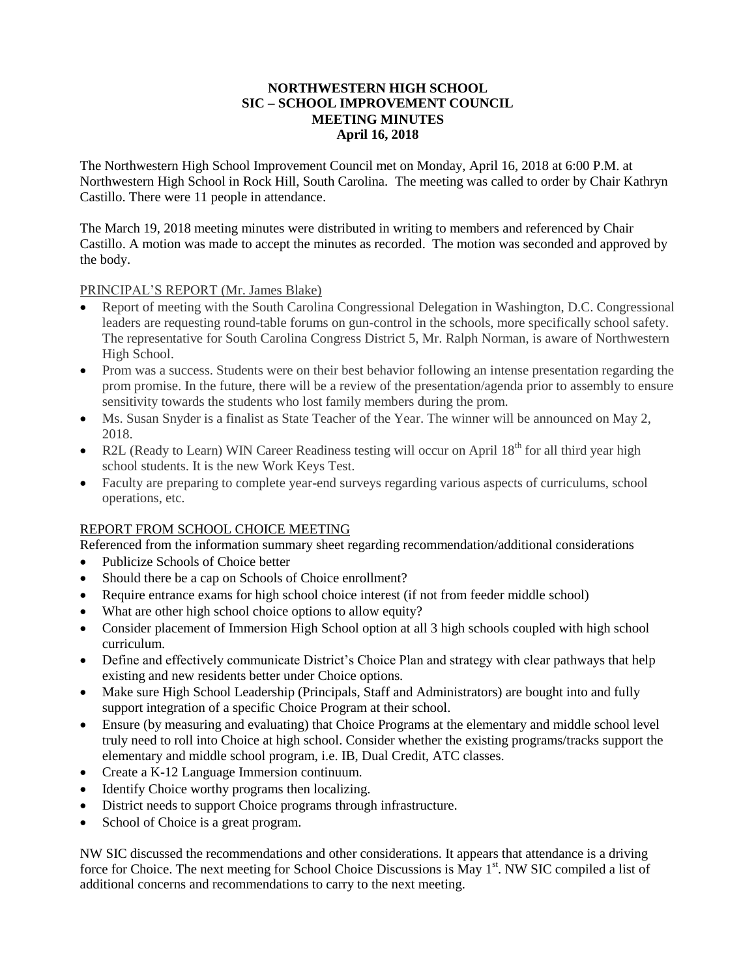#### **NORTHWESTERN HIGH SCHOOL SIC – SCHOOL IMPROVEMENT COUNCIL MEETING MINUTES April 16, 2018**

The Northwestern High School Improvement Council met on Monday, April 16, 2018 at 6:00 P.M. at Northwestern High School in Rock Hill, South Carolina. The meeting was called to order by Chair Kathryn Castillo. There were 11 people in attendance.

The March 19, 2018 meeting minutes were distributed in writing to members and referenced by Chair Castillo. A motion was made to accept the minutes as recorded. The motion was seconded and approved by the body.

#### PRINCIPAL'S REPORT (Mr. James Blake)

- Report of meeting with the South Carolina Congressional Delegation in Washington, D.C. Congressional leaders are requesting round-table forums on gun-control in the schools, more specifically school safety. The representative for South Carolina Congress District 5, Mr. Ralph Norman, is aware of Northwestern High School.
- Prom was a success. Students were on their best behavior following an intense presentation regarding the prom promise. In the future, there will be a review of the presentation/agenda prior to assembly to ensure sensitivity towards the students who lost family members during the prom.
- Ms. Susan Snyder is a finalist as State Teacher of the Year. The winner will be announced on May 2, 2018.
- R2L (Ready to Learn) WIN Career Readiness testing will occur on April 18<sup>th</sup> for all third year high school students. It is the new Work Keys Test.
- Faculty are preparing to complete year-end surveys regarding various aspects of curriculums, school operations, etc.

## REPORT FROM SCHOOL CHOICE MEETING

Referenced from the information summary sheet regarding recommendation/additional considerations

- Publicize Schools of Choice better
- Should there be a cap on Schools of Choice enrollment?
- Require entrance exams for high school choice interest (if not from feeder middle school)
- What are other high school choice options to allow equity?
- Consider placement of Immersion High School option at all 3 high schools coupled with high school curriculum.
- Define and effectively communicate District's Choice Plan and strategy with clear pathways that help existing and new residents better under Choice options.
- Make sure High School Leadership (Principals, Staff and Administrators) are bought into and fully support integration of a specific Choice Program at their school.
- Ensure (by measuring and evaluating) that Choice Programs at the elementary and middle school level truly need to roll into Choice at high school. Consider whether the existing programs/tracks support the elementary and middle school program, i.e. IB, Dual Credit, ATC classes.
- Create a K-12 Language Immersion continuum.
- Identify Choice worthy programs then localizing.
- District needs to support Choice programs through infrastructure.
- School of Choice is a great program.

NW SIC discussed the recommendations and other considerations. It appears that attendance is a driving force for Choice. The next meeting for School Choice Discussions is May 1<sup>st</sup>. NW SIC compiled a list of additional concerns and recommendations to carry to the next meeting.